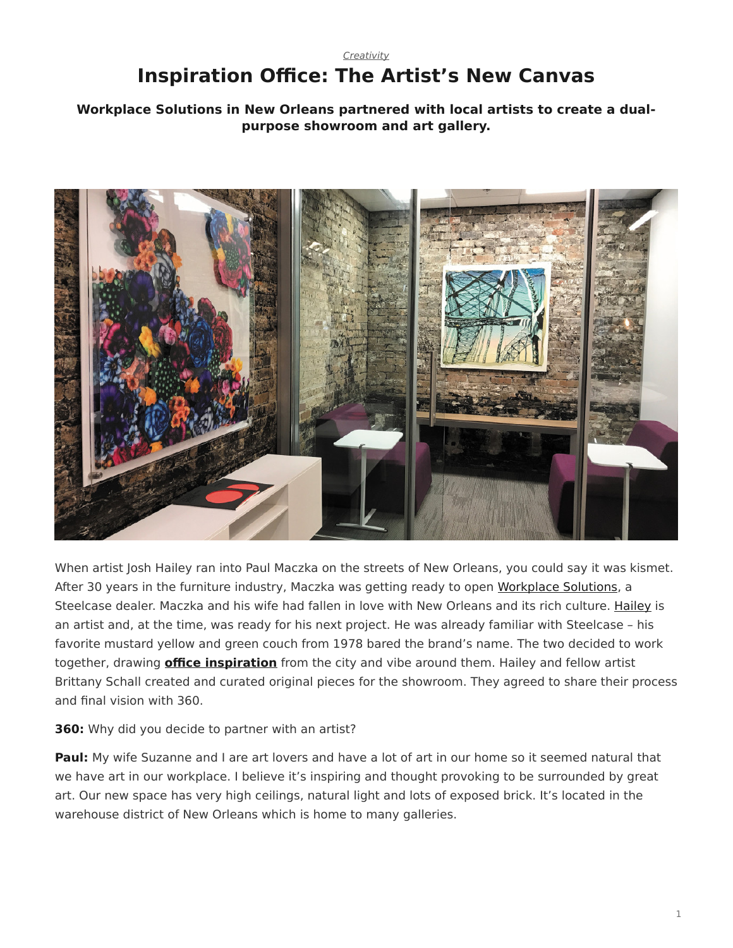## <span id="page-0-0"></span>*[Creativity](https://www.steelcase.com/research/topics/creativity/)* **Inspiration Office: The Artist's New Canvas**

## **Workplace Solutions in New Orleans partnered with local artists to create a dualpurpose showroom and art gallery.**



When artist Josh Hailey ran into Paul Maczka on the streets of New Orleans, you could say it was kismet. After 30 years in the furniture industry, Maczka was getting ready to open [Workplace Solutions](http://www.workplacesolutionsla.com/), a Steelcase dealer. Maczka and his wife had fallen in love with New Orleans and its rich culture. [Hailey](http://joshhaileyart.com/) is an artist and, at the time, was ready for his next project. He was already familiar with Steelcase – his favorite mustard yellow and green couch from 1978 bared the brand's name. The two decided to work together, drawing **[office inspiration](https://www.steelcase.com/spaces-inspiration/inspiring-office-workspaces/)** from the city and vibe around them. Hailey and fellow artist Brittany Schall created and curated original pieces for the showroom. They agreed to share their process and final vision with 360.

## **360:** Why did you decide to partner with an artist?

**Paul:** My wife Suzanne and I are art lovers and have a lot of art in our home so it seemed natural that we have art in our workplace. I believe it's inspiring and thought provoking to be surrounded by great art. Our new space has very high ceilings, natural light and lots of exposed brick. It's located in the warehouse district of New Orleans which is home to many galleries.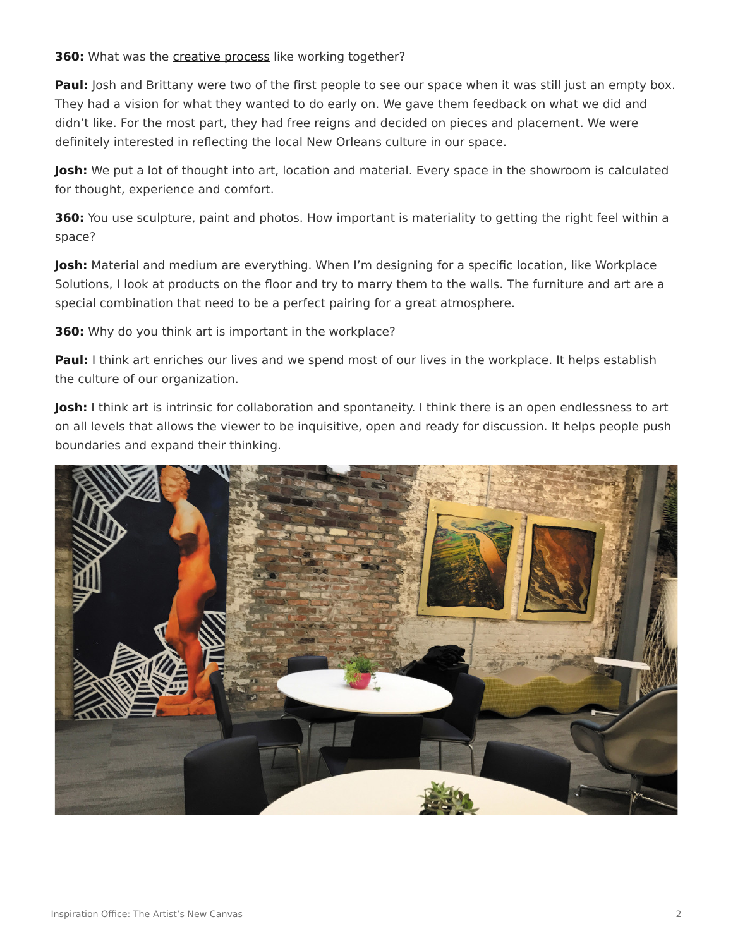**360:** What was the [creative process](https://www.steelcase.com/research/articles/topics/creativity/creative-shift/) like working together?

**Paul:** Josh and Brittany were two of the first people to see our space when it was still just an empty box. They had a vision for what they wanted to do early on. We gave them feedback on what we did and didn't like. For the most part, they had free reigns and decided on pieces and placement. We were definitely interested in reflecting the local New Orleans culture in our space.

**Josh:** We put a lot of thought into art, location and material. Every space in the showroom is calculated for thought, experience and comfort.

**360:** You use sculpture, paint and photos. How important is materiality to getting the right feel within a space?

**Josh:** Material and medium are everything. When I'm designing for a specific location, like Workplace Solutions, I look at products on the floor and try to marry them to the walls. The furniture and art are a special combination that need to be a perfect pairing for a great atmosphere.

**360:** Why do you think art is important in the workplace?

**Paul:** I think art enriches our lives and we spend most of our lives in the workplace. It helps establish the culture of our organization.

**Josh:** I think art is intrinsic for collaboration and spontaneity. I think there is an open endlessness to art on all levels that allows the viewer to be inquisitive, open and ready for discussion. It helps people push boundaries and expand their thinking.